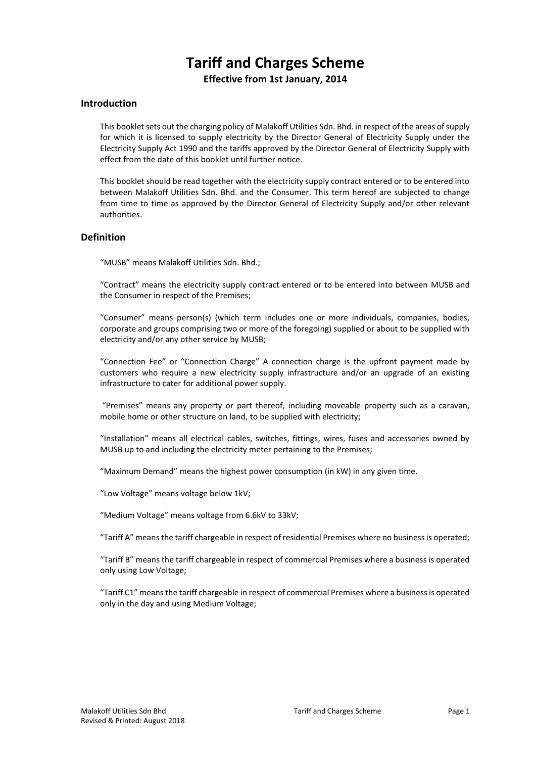# **Tariff and Charges Scheme**

**Effective from 1st January, 2014**

# **Introduction**

This booklet sets out the charging policy of Malakoff Utilities Sdn. Bhd. in respect of the areas of supply for which it is licensed to supply electricity by the Director General of Electricity Supply under the Electricity Supply Act 1990 and the tariffs approved by the Director General of Electricity Supply with effect from the date of this booklet until further notice.

This booklet should be read together with the electricity supply contract entered or to be entered into between Malakoff Utilities Sdn. Bhd. and the Consumer. This term hereof are subjected to change from time to time as approved by the Director General of Electricity Supply and/or other relevant authorities.

## **Definition**

"MUSB" means Malakoff Utilities Sdn. Bhd.;

"Contract" means the electricity supply contract entered or to be entered into between MUSB and the Consumer in respect of the Premises;

"Consumer" means person(s) (which term includes one or more individuals, companies, bodies, corporate and groups comprising two or more of the foregoing) supplied or about to be supplied with electricity and/or any other service by MUSB;

"Connection Fee" or "Connection Charge" A connection charge is the upfront payment made by customers who require a new electricity supply infrastructure and/or an upgrade of an existing infrastructure to cater for additional power supply.

"Premises" means any property or part thereof, including moveable property such as a caravan, mobile home or other structure on land, to be supplied with electricity;

"Installation" means all electrical cables, switches, fittings, wires, fuses and accessories owned by MUSB up to and including the electricity meter pertaining to the Premises;

"Maximum Demand" means the highest power consumption (in kW) in any given time.

"Low Voltage" means voltage below 1kV;

"Medium Voltage" means voltage from 6.6kV to 33kV;

"Tariff A" means the tariff chargeable in respect of residential Premises where no business is operated;

"Tariff B" means the tariff chargeable in respect of commercial Premises where a business is operated only using Low Voltage;

"Tariff C1" means the tariff chargeable in respect of commercial Premises where a business is operated only in the day and using Medium Voltage;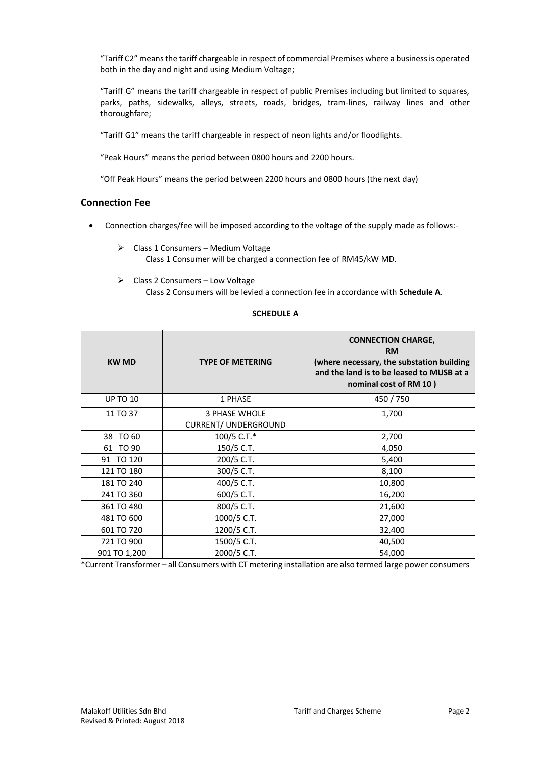"Tariff C2" means the tariff chargeable in respect of commercial Premises where a business is operated both in the day and night and using Medium Voltage;

"Tariff G" means the tariff chargeable in respect of public Premises including but limited to squares, parks, paths, sidewalks, alleys, streets, roads, bridges, tram-lines, railway lines and other thoroughfare;

"Tariff G1" means the tariff chargeable in respect of neon lights and/or floodlights.

"Peak Hours" means the period between 0800 hours and 2200 hours.

"Off Peak Hours" means the period between 2200 hours and 0800 hours (the next day)

## **Connection Fee**

- Connection charges/fee will be imposed according to the voltage of the supply made as follows:-
	- ➢ Class 1 Consumers Medium Voltage Class 1 Consumer will be charged a connection fee of RM45/kW MD.
	- ➢ Class 2 Consumers Low Voltage

Class 2 Consumers will be levied a connection fee in accordance with **Schedule A**.

| <b>KW MD</b>    | <b>TYPE OF METERING</b>                             | <b>CONNECTION CHARGE,</b><br><b>RM</b><br>(where necessary, the substation building<br>and the land is to be leased to MUSB at a<br>nominal cost of RM 10) |
|-----------------|-----------------------------------------------------|------------------------------------------------------------------------------------------------------------------------------------------------------------|
| <b>UP TO 10</b> | 1 PHASE                                             | 450 / 750                                                                                                                                                  |
| 11 TO 37        | <b>3 PHASE WHOLE</b><br><b>CURRENT/ UNDERGROUND</b> | 1,700                                                                                                                                                      |
| 38 TO 60        | 100/5 C.T.*                                         | 2,700                                                                                                                                                      |
| 61 TO 90        | 150/5 C.T.                                          | 4,050                                                                                                                                                      |
| 91 TO 120       | 200/5 C.T.                                          | 5,400                                                                                                                                                      |
| 121 TO 180      | 300/5 C.T.                                          | 8,100                                                                                                                                                      |
| 181 TO 240      | 400/5 C.T.                                          | 10,800                                                                                                                                                     |
| 241 TO 360      | 600/5 C.T.                                          | 16,200                                                                                                                                                     |
| 361 TO 480      | 800/5 C.T.                                          | 21,600                                                                                                                                                     |
| 481 TO 600      | 1000/5 C.T.                                         | 27,000                                                                                                                                                     |
| 601 TO 720      | 1200/5 C.T.                                         | 32,400                                                                                                                                                     |
| 721 TO 900      | 1500/5 C.T.                                         | 40,500                                                                                                                                                     |
| 901 TO 1,200    | 2000/5 C.T.                                         | 54,000                                                                                                                                                     |

# **SCHEDULE A**

\*Current Transformer – all Consumers with CT metering installation are also termed large power consumers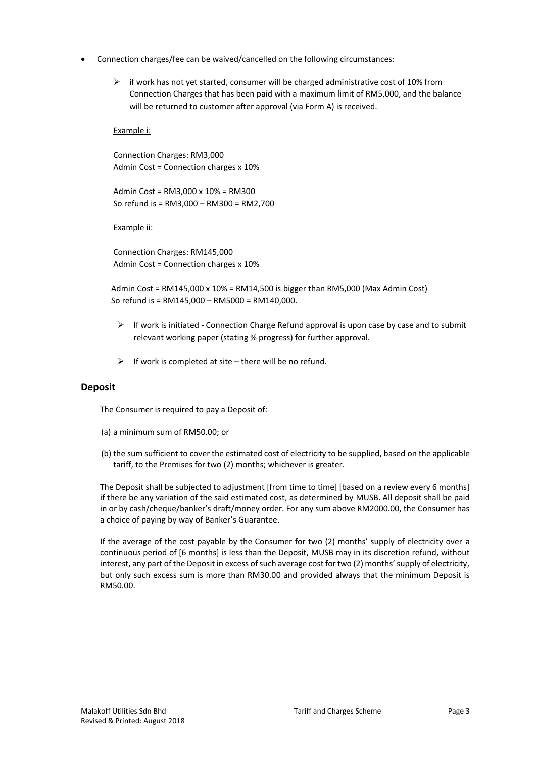- Connection charges/fee can be waived/cancelled on the following circumstances:
	- $\triangleright$  if work has not yet started, consumer will be charged administrative cost of 10% from Connection Charges that has been paid with a maximum limit of RM5,000, and the balance will be returned to customer after approval (via Form A) is received.

## Example i:

Connection Charges: RM3,000 Admin Cost = Connection charges x 10%

Admin Cost = RM3,000 x 10% = RM300 So refund is = RM3,000 – RM300 = RM2,700

Example ii:

Connection Charges: RM145,000 Admin Cost = Connection charges x 10%

Admin Cost = RM145,000 x 10% = RM14,500 is bigger than RM5,000 (Max Admin Cost) So refund is = RM145,000 – RM5000 = RM140,000.

- $\triangleright$  If work is initiated Connection Charge Refund approval is upon case by case and to submit relevant working paper (stating % progress) for further approval.
- $\triangleright$  If work is completed at site there will be no refund.

## **Deposit**

The Consumer is required to pay a Deposit of:

- (a) a minimum sum of RM50.00; or
- (b) the sum sufficient to cover the estimated cost of electricity to be supplied, based on the applicable tariff, to the Premises for two (2) months; whichever is greater.

The Deposit shall be subjected to adjustment [from time to time] [based on a review every 6 months] if there be any variation of the said estimated cost, as determined by MUSB. All deposit shall be paid in or by cash/cheque/banker's draft/money order. For any sum above RM2000.00, the Consumer has a choice of paying by way of Banker's Guarantee.

If the average of the cost payable by the Consumer for two (2) months' supply of electricity over a continuous period of [6 months] is less than the Deposit, MUSB may in its discretion refund, without interest, any part of the Deposit in excess of such average cost for two (2) months' supply of electricity, but only such excess sum is more than RM30.00 and provided always that the minimum Deposit is RM50.00.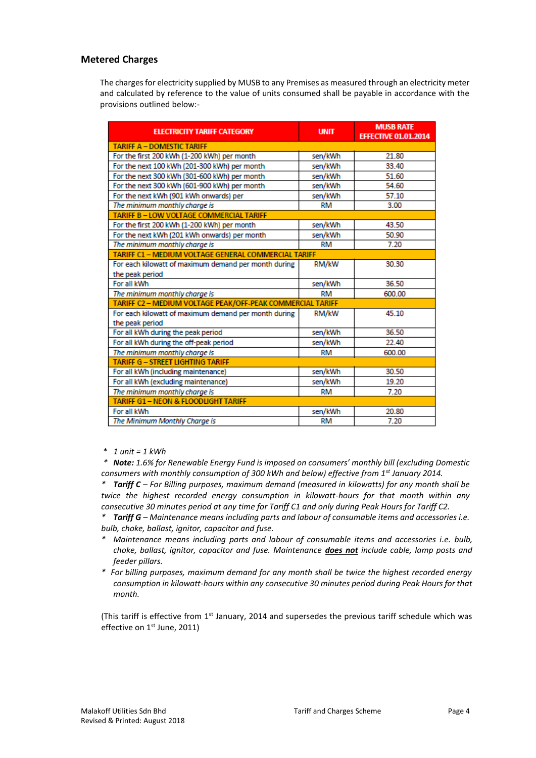# **Metered Charges**

The charges for electricity supplied by MUSB to any Premises as measured through an electricity meter and calculated by reference to the value of units consumed shall be payable in accordance with the provisions outlined below:-

| <b>ELECTRICITY TARIFF CATEGORY</b>                         | <b>UNIT</b> | <b>MUSB RATE</b><br><b>EFFECTIVE 01.01.2014</b> |  |  |
|------------------------------------------------------------|-------------|-------------------------------------------------|--|--|
| <b>TARIFF A - DOMESTIC TARIFF</b>                          |             |                                                 |  |  |
| For the first 200 kWh (1-200 kWh) per month                | sen/kWh     | 21.80                                           |  |  |
| For the next 100 kWh (201-300 kWh) per month               | sen/kWh     | 33.40                                           |  |  |
| For the next 300 kWh (301-600 kWh) per month               | sen/kWh     | 51.60                                           |  |  |
| For the next 300 kWh (601-900 kWh) per month               | sen/kWh     | 54.60                                           |  |  |
| For the next kWh (901 kWh onwards) per                     | sen/kWh     | 57.10                                           |  |  |
| The minimum monthly charge is                              | <b>RM</b>   | 3.00                                            |  |  |
| TARIFF B - LOW VOLTAGE COMMERCIAL TARIFF                   |             |                                                 |  |  |
| For the first 200 kWh (1-200 kWh) per month                | sen/kWh     | 43.50                                           |  |  |
| For the next kWh (201 kWh onwards) per month               | sen/kWh     | 50.90                                           |  |  |
| The minimum monthly charge is                              | RM          | 7.20                                            |  |  |
| TARIFF C1 - MEDIUM VOLTAGE GENERAL COMMERCIAL TARIFF       |             |                                                 |  |  |
| For each kilowatt of maximum demand per month during       | RM/kW       | 30.30                                           |  |  |
| the peak period                                            |             |                                                 |  |  |
| For all kWh                                                | sen/kWh     | 36.50                                           |  |  |
| The minimum monthly charge is                              | <b>RM</b>   | 600.00                                          |  |  |
| TARIFF C2 - MEDIUM VOLTAGE PEAK/OFF-PEAK COMMERCIAL TARIFF |             |                                                 |  |  |
| For each kilowatt of maximum demand per month during       | RM/kW       | 45.10                                           |  |  |
| the peak period                                            |             |                                                 |  |  |
| For all kWh during the peak period                         | sen/kWh     | 36.50                                           |  |  |
| For all kWh during the off-peak period                     | sen/kWh     | 22.40                                           |  |  |
| The minimum monthly charge is                              | <b>RM</b>   | 600.00                                          |  |  |
| <b>TARIFF G - STREET LIGHTING TARIFF</b>                   |             |                                                 |  |  |
| For all kWh (including maintenance)                        | sen/kWh     | 30.50                                           |  |  |
| For all kWh (excluding maintenance)                        | sen/kWh     | 19.20                                           |  |  |
| The minimum monthly charge is                              | RM          | 7.20                                            |  |  |
| <b>TARIFF G1-NEON &amp; FLOODLIGHT TARIFF</b>              |             |                                                 |  |  |
| For all kWh                                                | sen/kWh     | 20.80                                           |  |  |
| The Minimum Monthly Charge is                              | <b>RM</b>   | 7.20                                            |  |  |

\* *1 unit = 1 kWh*

*\* Note: 1.6% for Renewable Energy Fund is imposed on consumers' monthly bill (excluding Domestic consumers with monthly consumption of 300 kWh and below) effective from 1st January 2014.*

*\* Tariff C – For Billing purposes, maximum demand (measured in kilowatts) for any month shall be twice the highest recorded energy consumption in kilowatt-hours for that month within any consecutive 30 minutes period at any time for Tariff C1 and only during Peak Hours for Tariff C2.*

*\* Tariff G – Maintenance means including parts and labour of consumable items and accessories i.e. bulb, choke, ballast, ignitor, capacitor and fuse.* 

- *\* Maintenance means including parts and labour of consumable items and accessories i.e. bulb, choke, ballast, ignitor, capacitor and fuse. Maintenance does not include cable, lamp posts and feeder pillars.*
- *\* For billing purposes, maximum demand for any month shall be twice the highest recorded energy consumption in kilowatt-hours within any consecutive 30 minutes period during Peak Hours for that month.*

(This tariff is effective from  $1<sup>st</sup>$  January, 2014 and supersedes the previous tariff schedule which was effective on 1<sup>st</sup> June, 2011)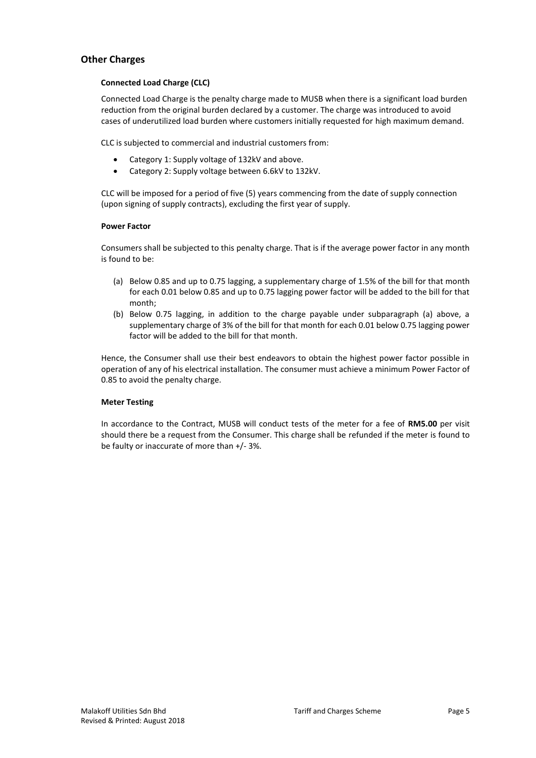# **Other Charges**

## **Connected Load Charge (CLC)**

Connected Load Charge is the penalty charge made to MUSB when there is a significant load burden reduction from the original burden declared by a customer. The charge was introduced to avoid cases of underutilized load burden where customers initially requested for high maximum demand.

CLC is subjected to commercial and industrial customers from:

- Category 1: Supply voltage of 132kV and above.
- Category 2: Supply voltage between 6.6kV to 132kV.

CLC will be imposed for a period of five (5) years commencing from the date of supply connection (upon signing of supply contracts), excluding the first year of supply.

#### **Power Factor**

Consumers shall be subjected to this penalty charge. That is if the average power factor in any month is found to be:

- (a) Below 0.85 and up to 0.75 lagging, a supplementary charge of 1.5% of the bill for that month for each 0.01 below 0.85 and up to 0.75 lagging power factor will be added to the bill for that month;
- (b) Below 0.75 lagging, in addition to the charge payable under subparagraph (a) above, a supplementary charge of 3% of the bill for that month for each 0.01 below 0.75 lagging power factor will be added to the bill for that month.

Hence, the Consumer shall use their best endeavors to obtain the highest power factor possible in operation of any of his electrical installation. The consumer must achieve a minimum Power Factor of 0.85 to avoid the penalty charge.

## **Meter Testing**

In accordance to the Contract, MUSB will conduct tests of the meter for a fee of **RM5.00** per visit should there be a request from the Consumer. This charge shall be refunded if the meter is found to be faulty or inaccurate of more than +/- 3%.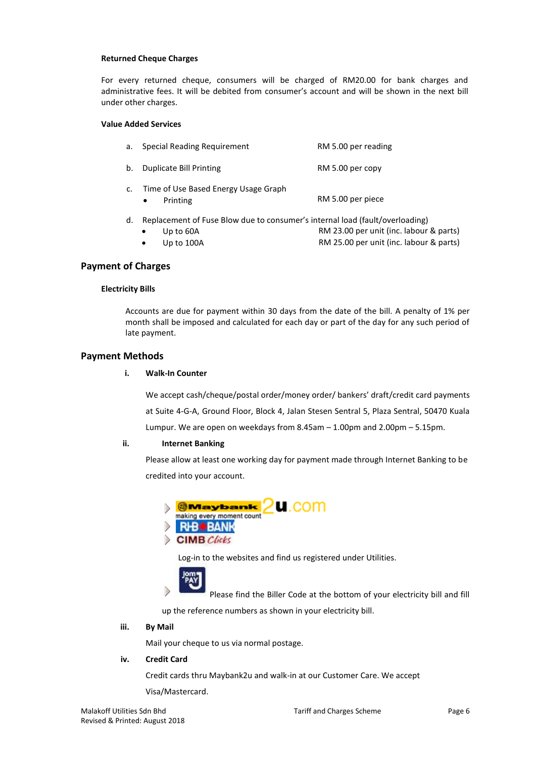#### **Returned Cheque Charges**

For every returned cheque, consumers will be charged of RM20.00 for bank charges and administrative fees. It will be debited from consumer's account and will be shown in the next bill under other charges.

## **Value Added Services**

| а. | Special Reading Requirement                      | RM 5.00 per reading |
|----|--------------------------------------------------|---------------------|
| b. | Duplicate Bill Printing                          | RM 5.00 per copy    |
| c. | Time of Use Based Energy Usage Graph<br>Printing | RM 5.00 per piece   |

- d. Replacement of Fuse Blow due to consumer's internal load (fault/overloading)
	- Up to 60A CHE RM 23.00 per unit (inc. labour & parts)
		- Up to 100A COME CONTA RM 25.00 per unit (inc. labour & parts)

# **Payment of Charges**

## **Electricity Bills**

Accounts are due for payment within 30 days from the date of the bill. A penalty of 1% per month shall be imposed and calculated for each day or part of the day for any such period of late payment.

## **Payment Methods**

## **i. Walk-In Counter**

We accept cash/cheque/postal order/money order/ bankers' draft/credit card payments at Suite 4-G-A, Ground Floor, Block 4, Jalan Stesen Sentral 5, Plaza Sentral, 50470 Kuala Lumpur. We are open on weekdays from 8.45am – 1.00pm and 2.00pm – 5.15pm.

## **ii. Internet Banking**

Please allow at least one working day for payment made through Internet Banking to be credited into your account.



Log-in to the websites and find us registered under Utilities.



Please find the Biller Code at the bottom of your electricity bill and fill

up the reference numbers as shown in your electricity bill.

#### **iii. By Mail**

Mail your cheque to us via normal postage.

## **iv. Credit Card**

Credit cards thru Maybank2u and walk-in at our Customer Care. We accept

Visa/Mastercard.